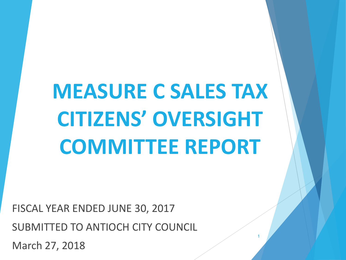# **MEASURE C SALES TAX CITIZENS' OVERSIGHT COMMITTEE REPORT**

1

FISCAL YEAR ENDED JUNE 30, 2017 SUBMITTED TO ANTIOCH CITY COUNCIL March 27, 2018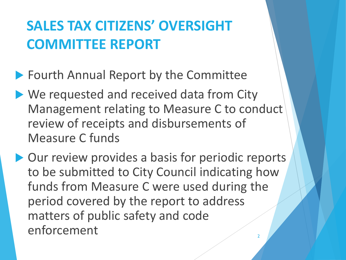# **SALES TAX CITIZENS' OVERSIGHT COMMITTEE REPORT**

▶ Fourth Annual Report by the Committee

- ▶ We requested and received data from City Management relating to Measure C to conduct review of receipts and disbursements of Measure C funds
- ▶ Our review provides a basis for periodic reports to be submitted to City Council indicating how funds from Measure C were used during the period covered by the report to address matters of public safety and code enforcement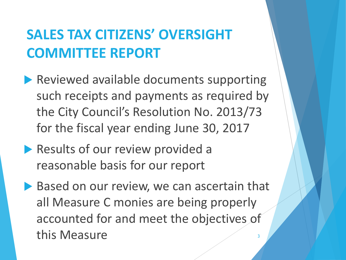## **SALES TAX CITIZENS' OVERSIGHT COMMITTEE REPORT**

- **Reviewed available documents supporting** such receipts and payments as required by the City Council's Resolution No. 2013/73 for the fiscal year ending June 30, 2017
- Results of our review provided a reasonable basis for our report
- Based on our review, we can ascertain that all Measure C monies are being properly accounted for and meet the objectives of this Measure 30 and 30 and 30 and 30 and 30 and 30 and 30 and 30 and 30 and 30 and 30 and 30 and 30 and 30 and 30 and 30 and 30 and 30 and 30 and 30 and 30 and 30 and 30 and 30 and 30 and 30 and 30 and 30 and 30 and 30 and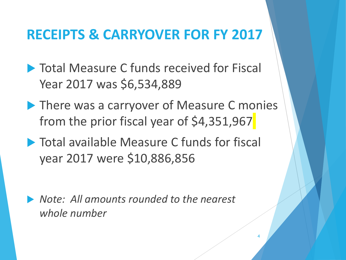### **RECEIPTS & CARRYOVER FOR FY 2017**

- **Total Measure C funds received for Fiscal** Year 2017 was \$6,534,889
- There was a carryover of Measure C monies from the prior fiscal year of \$4,351,967
- **Total available Measure C funds for fiscal** year 2017 were \$10,886,856

 *Note: All amounts rounded to the nearest whole number*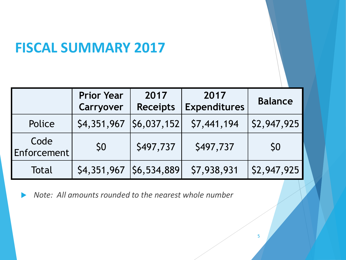## **FISCAL SUMMARY 2017**

|                     | <b>Prior Year</b><br>Carryover | 2017<br><b>Receipts</b> | 2017<br><b>Expenditures</b> | <b>Balance</b> |
|---------------------|--------------------------------|-------------------------|-----------------------------|----------------|
| Police              | \$4,351,967                    | \$6,037,152             | \$7,441,194                 | \$2,947,925    |
| Code<br>Enforcement | \$0                            | \$497,737               | \$497,737                   | \$0            |
| Total               | \$4,351,967                    | \$6,534,889             | \$7,938,931                 | \$2,947,925    |

*Note: All amounts rounded to the nearest whole number*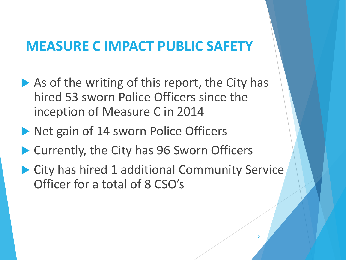### **MEASURE C IMPACT PUBLIC SAFETY**

- As of the writing of this report, the City has hired 53 sworn Police Officers since the inception of Measure C in 2014
- Net gain of 14 sworn Police Officers
- ▶ Currently, the City has 96 Sworn Officers
- ▶ City has hired 1 additional Community Service Officer for a total of 8 CSO's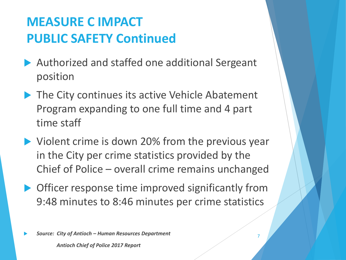## **MEASURE C IMPACT PUBLIC SAFETY Continued**

- ▶ Authorized and staffed one additional Sergeant position
- ▶ The City continues its active Vehicle Abatement Program expanding to one full time and 4 part time staff
- ▶ Violent crime is down 20% from the previous year in the City per crime statistics provided by the Chief of Police – overall crime remains unchanged
- ▶ Officer response time improved significantly from 9:48 minutes to 8:46 minutes per crime statistics

7

*Source: City of Antioch – Human Resources Department*

 *Antioch Chief of Police 2017 Report*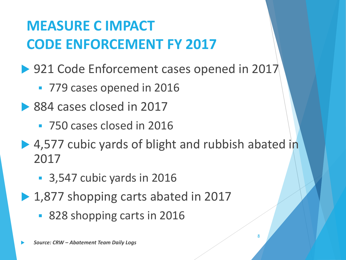# **MEASURE C IMPACT CODE ENFORCEMENT FY 2017**

- ▶ 921 Code Enforcement cases opened in 2017
	- **779 cases opened in 2016**
- ▶ 884 cases closed in 2017
	- 750 cases closed in 2016
- ▶ 4,577 cubic yards of blight and rubbish abated in 2017
	- **3,547 cubic yards in 2016**
- ▶ 1,877 shopping carts abated in 2017
	- 828 shopping carts in 2016